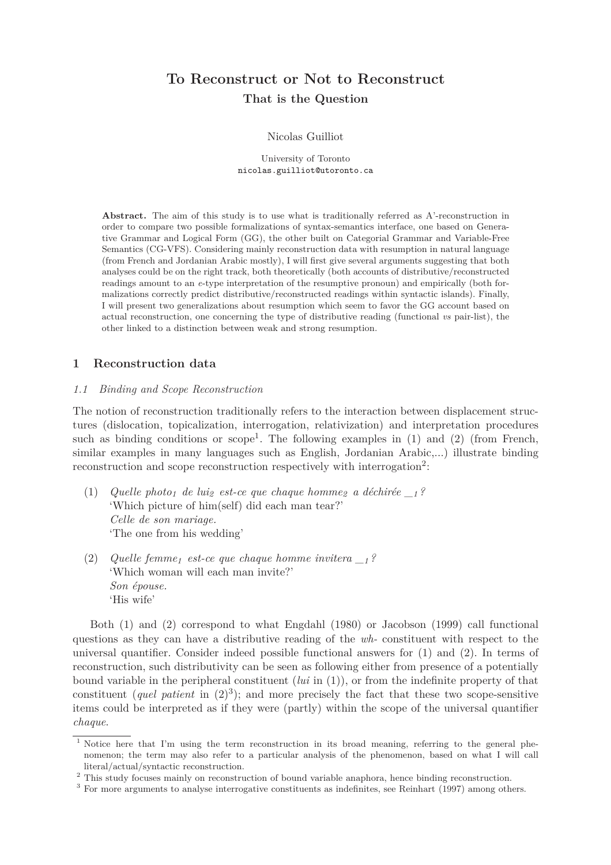# **To Reconstruct or Not to Reconstruct That is the Question**

Nicolas Guilliot

University of Toronto nicolas.guilliot@utoronto.ca

**Abstract.** The aim of this study is to use what is traditionally referred as A'-reconstruction in order to compare two possible formalizations of syntax-semantics interface, one based on Generative Grammar and Logical Form (GG), the other built on Categorial Grammar and Variable-Free Semantics (CG-VFS). Considering mainly reconstruction data with resumption in natural language (from French and Jordanian Arabic mostly), I will first give several arguments suggesting that both analyses could be on the right track, both theoretically (both accounts of distributive/reconstructed readings amount to an *e*-type interpretation of the resumptive pronoun) and empirically (both formalizations correctly predict distributive/reconstructed readings within syntactic islands). Finally, I will present two generalizations about resumption which seem to favor the GG account based on actual reconstruction, one concerning the type of distributive reading (functional *vs* pair-list), the other linked to a distinction between weak and strong resumption.

# **1 Reconstruction data**

#### *1.1 Binding and Scope Reconstruction*

The notion of reconstruction traditionally refers to the interaction between displacement structures (dislocation, topicalization, interrogation, relativization) and interpretation procedures such as binding conditions or scope<sup>1</sup>. The following examples in  $(1)$  and  $(2)$  (from French, similar examples in many languages such as English, Jordanian Arabic,...) illustrate binding reconstruction and scope reconstruction respectively with interrogation<sup>2</sup>:

- (1) *Quelle photo<sup>1</sup> de lui<sup>2</sup> est-ce que chaque homme<sup>2</sup> a déchirée \_<sup>1</sup> ?* 'Which picture of him(self) did each man tear?' *Celle de son mariage.* 'The one from his wedding'
- (2) *Quelle femme<sup>1</sup> est-ce que chaque homme invitera \_<sup>1</sup> ?* 'Which woman will each man invite?' *Son épouse.* 'His wife'

Both (1) and (2) correspond to what Engdahl (1980) or Jacobson (1999) call functional questions as they can have a distributive reading of the *wh-* constituent with respect to the universal quantifier. Consider indeed possible functional answers for (1) and (2). In terms of reconstruction, such distributivity can be seen as following either from presence of a potentially bound variable in the peripheral constituent (*lui* in (1)), or from the indefinite property of that constituent (*quel patient* in  $(2)^3$ ); and more precisely the fact that these two scope-sensitive items could be interpreted as if they were (partly) within the scope of the universal quantifier *chaque*.

<sup>&</sup>lt;sup>1</sup> Notice here that I'm using the term reconstruction in its broad meaning, referring to the general phenomenon; the term may also refer to a particular analysis of the phenomenon, based on what I will call literal/actual/syntactic reconstruction.

<sup>&</sup>lt;sup>2</sup> This study focuses mainly on reconstruction of bound variable anaphora, hence binding reconstruction.

<sup>&</sup>lt;sup>3</sup> For more arguments to analyse interrogative constituents as indefinites, see Reinhart (1997) among others.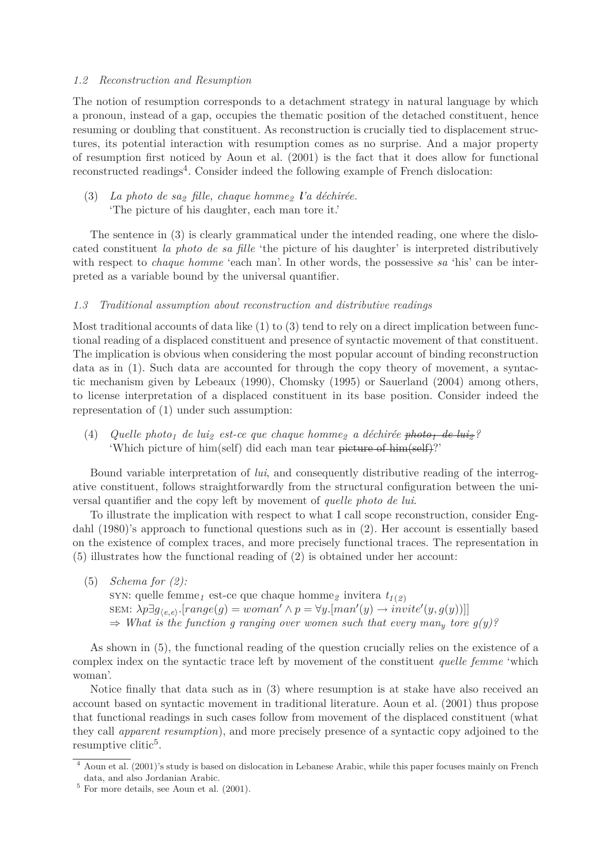#### *1.2 Reconstruction and Resumption*

The notion of resumption corresponds to a detachment strategy in natural language by which a pronoun, instead of a gap, occupies the thematic position of the detached constituent, hence resuming or doubling that constituent. As reconstruction is crucially tied to displacement structures, its potential interaction with resumption comes as no surprise. And a major property of resumption first noticed by Aoun et al. (2001) is the fact that it does allow for functional reconstructed readings<sup>4</sup>. Consider indeed the following example of French dislocation:

(3) *La photo de sa<sup>2</sup> fille, chaque homme<sup>2</sup> l'a déchirée.* 'The picture of his daughter, each man tore it.'

The sentence in (3) is clearly grammatical under the intended reading, one where the dislocated constituent *la photo de sa fille* 'the picture of his daughter' is interpreted distributively with respect to *chaque homme* 'each man'. In other words, the possessive *sa* 'his' can be interpreted as a variable bound by the universal quantifier.

#### *1.3 Traditional assumption about reconstruction and distributive readings*

Most traditional accounts of data like (1) to (3) tend to rely on a direct implication between functional reading of a displaced constituent and presence of syntactic movement of that constituent. The implication is obvious when considering the most popular account of binding reconstruction data as in (1). Such data are accounted for through the copy theory of movement, a syntactic mechanism given by Lebeaux (1990), Chomsky (1995) or Sauerland (2004) among others, to license interpretation of a displaced constituent in its base position. Consider indeed the representation of (1) under such assumption:

(4) *Quelle photo<sup>1</sup> de lui<sup>2</sup> est-ce que chaque homme<sup>2</sup> a déchirée photo<sup>1</sup> de lui<sup>2</sup> ?* 'Which picture of him(self) did each man tear picture of him(self)?'

Bound variable interpretation of *lui*, and consequently distributive reading of the interrogative constituent, follows straightforwardly from the structural configuration between the universal quantifier and the copy left by movement of *quelle photo de lui*.

To illustrate the implication with respect to what I call scope reconstruction, consider Engdahl (1980)'s approach to functional questions such as in (2). Her account is essentially based on the existence of complex traces, and more precisely functional traces. The representation in (5) illustrates how the functional reading of (2) is obtained under her account:

(5) *Schema for (2):* syn: quelle femme<sub>1</sub> est-ce que chaque homme<sub>2</sub> invitera  $t_{1(2)}$  $\text{SEM}: \lambda p \exists g_{\langle e, e \rangle}$ .[ $range(g) = woman' \land p = \forall y. [man'(y) \rightarrow invite'(y, g(y))]$ ]]  $\Rightarrow$  *What is the function g ranging over women such that every man<sub>y</sub> tore g(y)?* 

As shown in (5), the functional reading of the question crucially relies on the existence of a complex index on the syntactic trace left by movement of the constituent *quelle femme* 'which woman'.

Notice finally that data such as in (3) where resumption is at stake have also received an account based on syntactic movement in traditional literature. Aoun et al. (2001) thus propose that functional readings in such cases follow from movement of the displaced constituent (what they call *apparent resumption*), and more precisely presence of a syntactic copy adjoined to the resumptive clitic<sup>5</sup>.

<sup>4</sup> Aoun et al. (2001)'s study is based on dislocation in Lebanese Arabic, while this paper focuses mainly on French data, and also Jordanian Arabic.

 $5$  For more details, see Aoun et al.  $(2001)$ .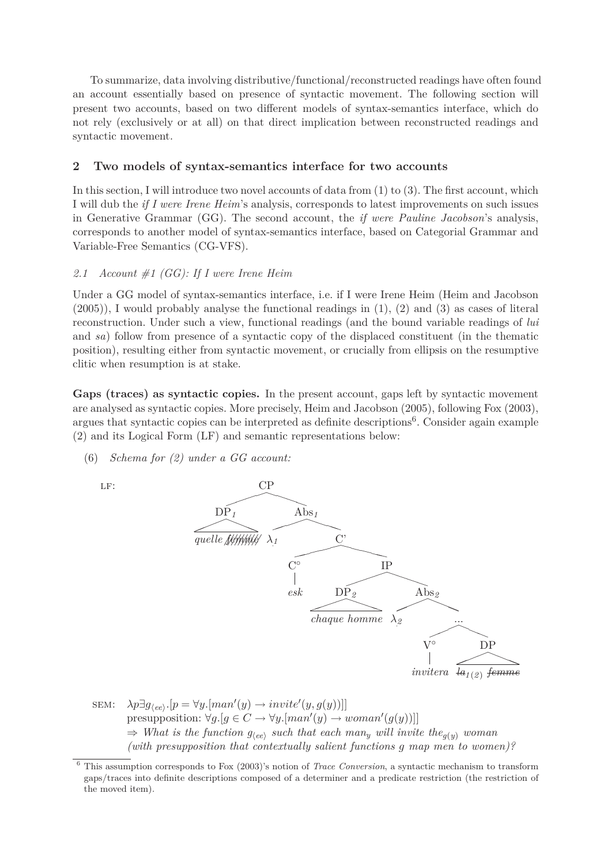To summarize, data involving distributive/functional/reconstructed readings have often found an account essentially based on presence of syntactic movement. The following section will present two accounts, based on two different models of syntax-semantics interface, which do not rely (exclusively or at all) on that direct implication between reconstructed readings and syntactic movement.

# **2 Two models of syntax-semantics interface for two accounts**

In this section, I will introduce two novel accounts of data from (1) to (3). The first account, which I will dub the *if I were Irene Heim*'s analysis, corresponds to latest improvements on such issues in Generative Grammar (GG). The second account, the *if were Pauline Jacobson*'s analysis, corresponds to another model of syntax-semantics interface, based on Categorial Grammar and Variable-Free Semantics (CG-VFS).

# *2.1 Account #1 (GG): If I were Irene Heim*

Under a GG model of syntax-semantics interface, i.e. if I were Irene Heim (Heim and Jacobson (2005)), I would probably analyse the functional readings in (1), (2) and (3) as cases of literal reconstruction. Under such a view, functional readings (and the bound variable readings of *lui* and *sa*) follow from presence of a syntactic copy of the displaced constituent (in the thematic position), resulting either from syntactic movement, or crucially from ellipsis on the resumptive clitic when resumption is at stake.

**Gaps (traces) as syntactic copies.** In the present account, gaps left by syntactic movement are analysed as syntactic copies. More precisely, Heim and Jacobson (2005), following Fox (2003), argues that syntactic copies can be interpreted as definite descriptions<sup>6</sup>. Consider again example (2) and its Logical Form (LF) and semantic representations below:

(6) *Schema for (2) under a GG account:*



 $\text{SEM:} \quad \lambda p \exists g_{\langle ee \rangle}.[p = \forall y. [man'(y) \rightarrow invite'(y, g(y))]]$  $presupposition: \forall g. [g \in C \rightarrow \forall y. [man'(y) \rightarrow woman'(g(y))]]$  $\Rightarrow$  *What is the function*  $g_{\text{ee}}$  *such that each man<sub>y</sub> will invite the<sub><i>g*(*y*)</sub> *woman (with presupposition that contextually salient functions g map men to women)?*

<sup>6</sup> This assumption corresponds to Fox (2003)'s notion of *Trace Conversion*, a syntactic mechanism to transform gaps/traces into definite descriptions composed of a determiner and a predicate restriction (the restriction of the moved item).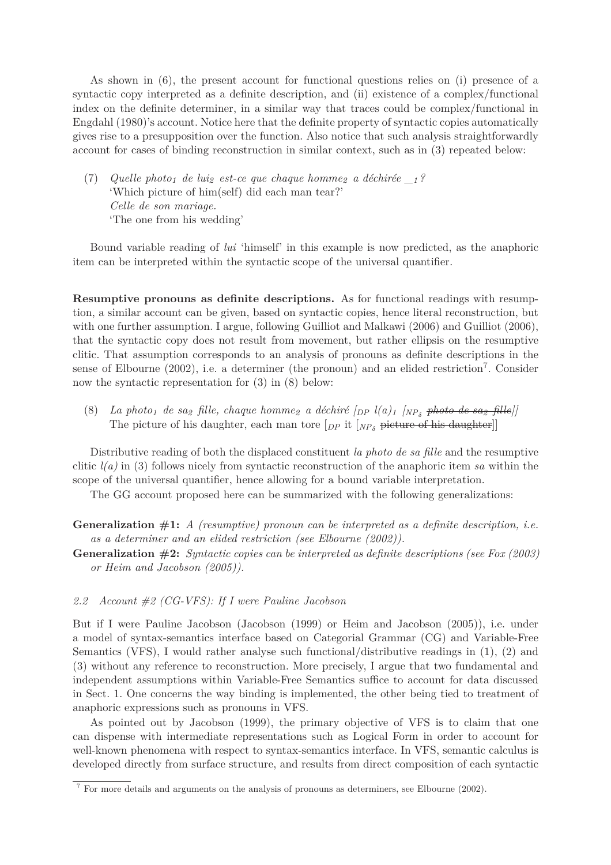As shown in (6), the present account for functional questions relies on (i) presence of a syntactic copy interpreted as a definite description, and (ii) existence of a complex/functional index on the definite determiner, in a similar way that traces could be complex/functional in Engdahl (1980)'s account. Notice here that the definite property of syntactic copies automatically gives rise to a presupposition over the function. Also notice that such analysis straightforwardly account for cases of binding reconstruction in similar context, such as in (3) repeated below:

(7) *Quelle photo<sup>1</sup> de lui<sup>2</sup> est-ce que chaque homme<sup>2</sup> a déchirée \_<sup>1</sup> ?* 'Which picture of him(self) did each man tear?' *Celle de son mariage.* 'The one from his wedding'

Bound variable reading of *lui* 'himself' in this example is now predicted, as the anaphoric item can be interpreted within the syntactic scope of the universal quantifier.

**Resumptive pronouns as definite descriptions.** As for functional readings with resumption, a similar account can be given, based on syntactic copies, hence literal reconstruction, but with one further assumption. I argue, following Guilliot and Malkawi (2006) and Guilliot (2006), that the syntactic copy does not result from movement, but rather ellipsis on the resumptive clitic. That assumption corresponds to an analysis of pronouns as definite descriptions in the sense of Elbourne (2002), i.e. a determiner (the pronoun) and an elided restriction<sup>7</sup>. Consider now the syntactic representation for (3) in (8) below:

 $(8)$  *La photo<sub>1</sub> de sa<sub>2</sub> fille, chaque homme<sub>2</sub> a déchiré*  $[$ *DP*  $l$  $(a)$ <sub>1</sub>  $[$  $NP<sub>\delta</sub>$  <del>*photo-de-sa<sub>2</sub> fille</del>* $]$ </del> The picture of his daughter, each man tore  $[p_P$  it  $N_{P_\delta}$  picture of his daughter.

Distributive reading of both the displaced constituent *la photo de sa fille* and the resumptive clitic *l(a)* in (3) follows nicely from syntactic reconstruction of the anaphoric item *sa* within the scope of the universal quantifier, hence allowing for a bound variable interpretation.

The GG account proposed here can be summarized with the following generalizations:

- **Generalization #1:** *A (resumptive) pronoun can be interpreted as a definite description, i.e. as a determiner and an elided restriction (see Elbourne (2002)).*
- **Generalization #2:** *Syntactic copies can be interpreted as definite descriptions (see Fox (2003) or Heim and Jacobson (2005)).*

#### *2.2 Account #2 (CG-VFS): If I were Pauline Jacobson*

But if I were Pauline Jacobson (Jacobson (1999) or Heim and Jacobson (2005)), i.e. under a model of syntax-semantics interface based on Categorial Grammar (CG) and Variable-Free Semantics (VFS), I would rather analyse such functional/distributive readings in  $(1)$ ,  $(2)$  and (3) without any reference to reconstruction. More precisely, I argue that two fundamental and independent assumptions within Variable-Free Semantics suffice to account for data discussed in Sect. 1. One concerns the way binding is implemented, the other being tied to treatment of anaphoric expressions such as pronouns in VFS.

As pointed out by Jacobson (1999), the primary objective of VFS is to claim that one can dispense with intermediate representations such as Logical Form in order to account for well-known phenomena with respect to syntax-semantics interface. In VFS, semantic calculus is developed directly from surface structure, and results from direct composition of each syntactic

<sup>7</sup> For more details and arguments on the analysis of pronouns as determiners, see Elbourne (2002).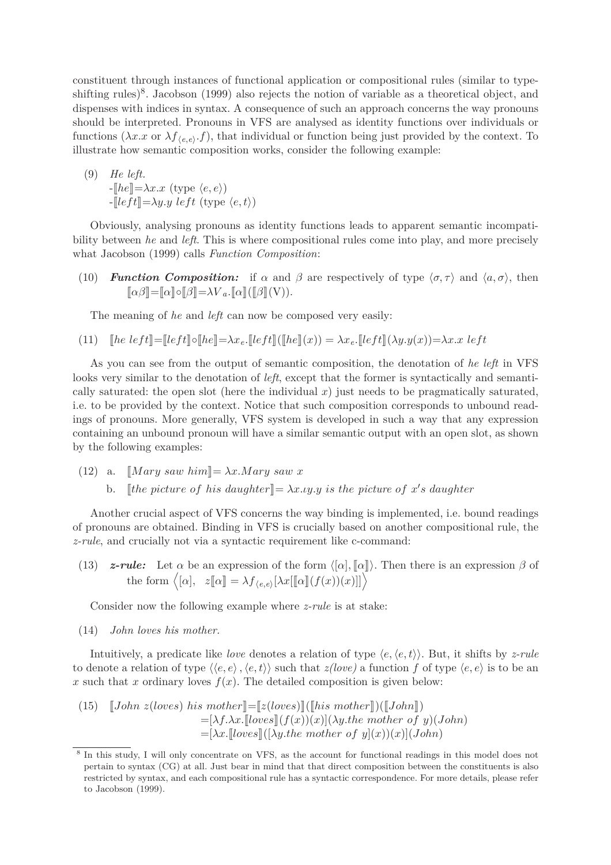constituent through instances of functional application or compositional rules (similar to typeshifting rules)<sup>8</sup>. Jacobson (1999) also rejects the notion of variable as a theoretical object, and dispenses with indices in syntax. A consequence of such an approach concerns the way pronouns should be interpreted. Pronouns in VFS are analysed as identity functions over individuals or functions  $(\lambda x.x \text{ or } \lambda f_{\langle e,e \rangle}.f)$ , that individual or function being just provided by the context. To illustrate how semantic composition works, consider the following example:

(9) He left.  
\n
$$
-[he]]=\lambda x.x \text{ (type }\langle e,e \rangle)
$$
\n
$$
-[left]]=\lambda y.y \text{ left (type }\langle e,t \rangle)
$$

Obviously, analysing pronouns as identity functions leads to apparent semantic incompatibility between *he* and *left*. This is where compositional rules come into play, and more precisely what Jacobson (1999) calls *Function Composition*:

(10) *Function Composition:* if  $\alpha$  and  $\beta$  are respectively of type  $\langle \sigma, \tau \rangle$  and  $\langle a, \sigma \rangle$ , then  $\llbracket \alpha \beta \rrbracket = \llbracket \alpha \rrbracket \circ \llbracket \beta \rrbracket = \lambda V_a$ . $\llbracket \alpha \rrbracket (\llbracket \beta \rrbracket (V)).$ 

The meaning of *he* and *left* can now be composed very easily:

(11) 
$$
\text{[he left]} = \text{[left]} \circ \text{[he]} = \lambda x_e. \text{[left]} \left( \text{[he]}(x) \right) = \lambda x_e. \text{[left]} (\lambda y. y(x)) = \lambda x. x \text{ left}
$$

As you can see from the output of semantic composition, the denotation of *he left* in VFS looks very similar to the denotation of *left*, except that the former is syntactically and semantically saturated: the open slot (here the individual *x*) just needs to be pragmatically saturated, i.e. to be provided by the context. Notice that such composition corresponds to unbound readings of pronouns. More generally, VFS system is developed in such a way that any expression containing an unbound pronoun will have a similar semantic output with an open slot, as shown by the following examples:

- (12) a.  $\llbracket Mary saw him\rrbracket = \lambda x. Mary saw x$ 
	- b.  $[the picture of his daughter] = \lambda x. \iota y. \iota y is the picture of x's daughter$

Another crucial aspect of VFS concerns the way binding is implemented, i.e. bound readings of pronouns are obtained. Binding in VFS is crucially based on another compositional rule, the *z-rule*, and crucially not via a syntactic requirement like c-command:

(13) *z-rule:* Let  $\alpha$  be an expression of the form  $\langle [\alpha], [\alpha] \rangle$ . Then there is an expression  $\beta$  of the form  $\langle [\alpha], z[\![\alpha]\!] = \lambda f_{\langle e,e \rangle}[\lambda x[[\![\alpha]\!](f(x))(x)]]\rangle$ 

Consider now the following example where *z-rule* is at stake:

(14) *John loves his mother.*

Intuitively, a predicate like *love* denotes a relation of type  $\langle e, \langle e, t \rangle \rangle$ . But, it shifts by *z-rule* to denote a relation of type  $\langle \langle e, e \rangle, \langle e, t \rangle \rangle$  such that *z(love)* a function *f* of type  $\langle e, e \rangle$  is to be an x such that x ordinary loves  $f(x)$ . The detailed composition is given below:

(15) 
$$
\begin{aligned} [John \ z (loves) \ his \ mother \] = [z (loves) ] ([his \ mother] ) ([John]) \\ = [\lambda f. \lambda x. [loves] (f(x))(x)] (\lambda y. the \ mother \ of \ y) (John) \\ = [\lambda x. [loves] ([\lambda y. the \ mother \ of \ y](x)) (x)] (John) \end{aligned}
$$

<sup>&</sup>lt;sup>8</sup> In this study, I will only concentrate on VFS, as the account for functional readings in this model does not pertain to syntax (CG) at all. Just bear in mind that that direct composition between the constituents is also restricted by syntax, and each compositional rule has a syntactic correspondence. For more details, please refer to Jacobson (1999).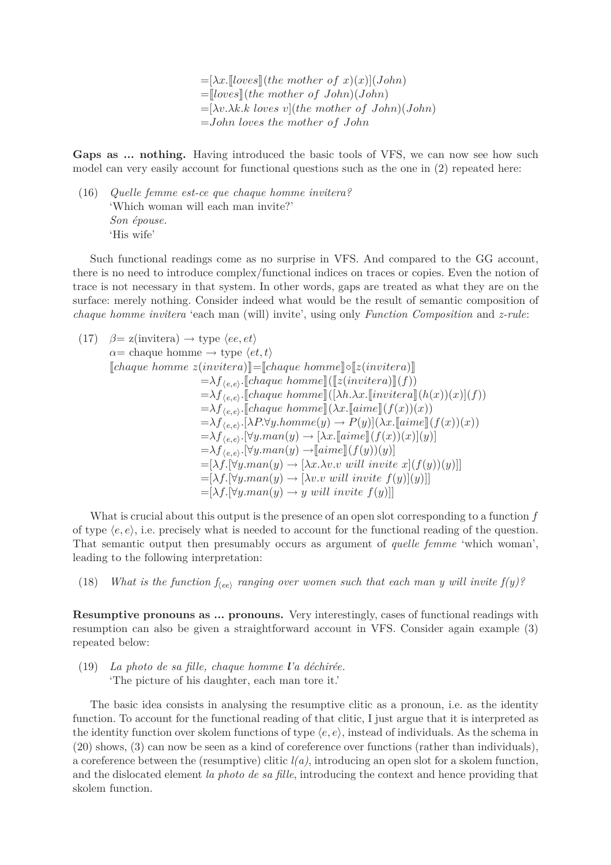$=[\lambda x.$ <sup>*[loves]*(*the mother of x*)(*x*)](*John*)</sup>  $=\llbracket$ *loves* $\rrbracket$ *(the mother of John)*(*John*) =[*λv.λk.k loves v*](*the mother of John*)(*John*) =*John loves the mother of John*

Gaps as ... nothing. Having introduced the basic tools of VFS, we can now see how such model can very easily account for functional questions such as the one in (2) repeated here:

(16) *Quelle femme est-ce que chaque homme invitera?* 'Which woman will each man invite?' *Son épouse.* 'His wife'

Such functional readings come as no surprise in VFS. And compared to the GG account, there is no need to introduce complex/functional indices on traces or copies. Even the notion of trace is not necessary in that system. In other words, gaps are treated as what they are on the surface: merely nothing. Consider indeed what would be the result of semantic composition of *chaque homme invitera* 'each man (will) invite', using only *Function Composition* and *z-rule*:

$$
(17) \quad \beta = z(\text{invitera}) \rightarrow \text{type } \langle ee, et \rangle
$$
\n
$$
\alpha = \text{change home} \rightarrow \text{type } \langle et, t \rangle
$$
\n[*change home z(\text{invitera})*]] = [*change home*]] 
$$
= [\langle [z(\text{invitera})]
$$
\n
$$
= \lambda f_{\langle e, e \rangle}.[\text{change home}] \left( [[z(\text{invitera})]](f) \right)
$$
\n
$$
= \lambda f_{\langle e, e \rangle}.[\text{change home}] \left( [\lambda h. \lambda x. [\text{invitera}]](h(x))(x) \right](f)
$$
\n
$$
= \lambda f_{\langle e, e \rangle}.[\text{change home}]] \left( \lambda x. [\text{aime}]](f(x))(x) \right)
$$
\n
$$
= \lambda f_{\langle e, e \rangle}.[\lambda P. \forall y. \text{home}(y) \rightarrow P(y)] \left( \lambda x. [\text{aime}]](f(x))(x) \right)
$$
\n
$$
= \lambda f_{\langle e, e \rangle}.[\forall y. \text{man}(y) \rightarrow [\lambda x. [\text{aime}]](f(x))(x)](y)]
$$
\n
$$
= \lambda f_{\langle e, e \rangle}.[\forall y. \text{man}(y) \rightarrow [\text{aime}]](f(y))(y)]
$$
\n
$$
= [\lambda f. [\forall y. \text{man}(y) \rightarrow [\lambda x. \lambda v. v \text{ will invite } x](f(y))(y)]]
$$
\n
$$
= [\lambda f. [\forall y. \text{man}(y) \rightarrow [\lambda v. v \text{ will invite } f(y)](y)]]
$$
\n
$$
= [\lambda f. [\forall y. \text{man}(y) \rightarrow y \text{ will invite } f(y)]]
$$

What is crucial about this output is the presence of an open slot corresponding to a function *f* of type  $\langle e, e \rangle$ , i.e. precisely what is needed to account for the functional reading of the question. That semantic output then presumably occurs as argument of *quelle femme* 'which woman', leading to the following interpretation:

(18) *What is the function*  $f_{\langle ee\rangle}$  *ranging over women such that each man y will invite*  $f(y)$ ?

**Resumptive pronouns as ... pronouns.** Very interestingly, cases of functional readings with resumption can also be given a straightforward account in VFS. Consider again example (3) repeated below:

(19) *La photo de sa fille, chaque homme l'a déchirée.* 'The picture of his daughter, each man tore it.'

The basic idea consists in analysing the resumptive clitic as a pronoun, i.e. as the identity function. To account for the functional reading of that clitic, I just argue that it is interpreted as the identity function over skolem functions of type  $\langle e, e \rangle$ , instead of individuals. As the schema in (20) shows, (3) can now be seen as a kind of coreference over functions (rather than individuals), a coreference between the (resumptive) clitic  $l(a)$ , introducing an open slot for a skolem function, and the dislocated element *la photo de sa fille*, introducing the context and hence providing that skolem function.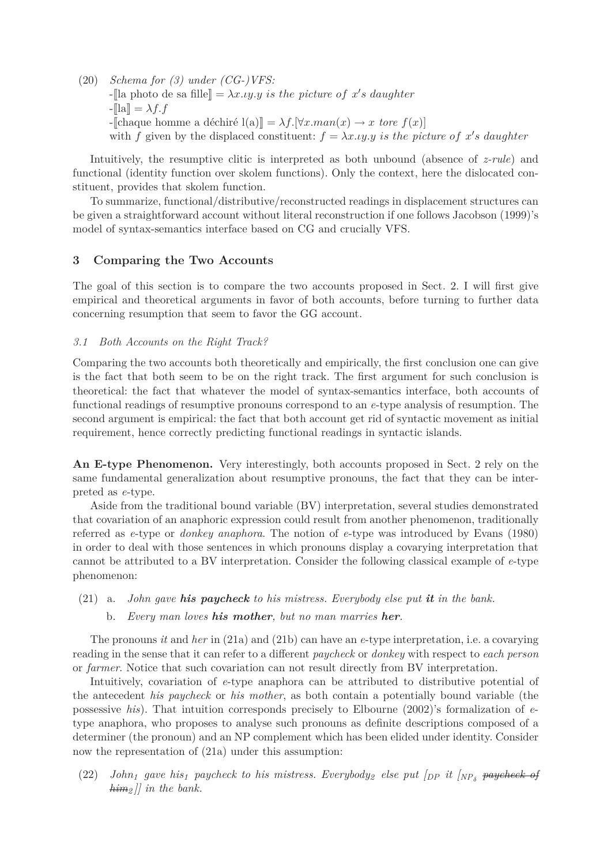(20) *Schema for (3) under (CG-)VFS:*  $-$ [la photo de sa fille] =  $\lambda x.\iota y.\iota y$  *is the picture of x's daughter*  $-\mathbb{I}[a]=\lambda f.f$  $-\left[\text{change home a} \text{defchir\'e} \right]\left[\left(\frac{a}{\overline{a}}\right)\right] = \lambda f.\left[\forall x \ldots \text{max}(x) \rightarrow x \text{ tore } f(x)\right]$ with *f* given by the displaced constituent:  $f = \lambda x \cdot \mu y$  is the picture of x's daughter

Intuitively, the resumptive clitic is interpreted as both unbound (absence of *z-rule*) and functional (identity function over skolem functions). Only the context, here the dislocated constituent, provides that skolem function.

To summarize, functional/distributive/reconstructed readings in displacement structures can be given a straightforward account without literal reconstruction if one follows Jacobson (1999)'s model of syntax-semantics interface based on CG and crucially VFS.

## **3 Comparing the Two Accounts**

The goal of this section is to compare the two accounts proposed in Sect. 2. I will first give empirical and theoretical arguments in favor of both accounts, before turning to further data concerning resumption that seem to favor the GG account.

#### *3.1 Both Accounts on the Right Track?*

Comparing the two accounts both theoretically and empirically, the first conclusion one can give is the fact that both seem to be on the right track. The first argument for such conclusion is theoretical: the fact that whatever the model of syntax-semantics interface, both accounts of functional readings of resumptive pronouns correspond to an *e*-type analysis of resumption. The second argument is empirical: the fact that both account get rid of syntactic movement as initial requirement, hence correctly predicting functional readings in syntactic islands.

**An E-type Phenomenon.** Very interestingly, both accounts proposed in Sect. 2 rely on the same fundamental generalization about resumptive pronouns, the fact that they can be interpreted as *e*-type.

Aside from the traditional bound variable (BV) interpretation, several studies demonstrated that covariation of an anaphoric expression could result from another phenomenon, traditionally referred as *e*-type or *donkey anaphora*. The notion of *e*-type was introduced by Evans (1980) in order to deal with those sentences in which pronouns display a covarying interpretation that cannot be attributed to a BV interpretation. Consider the following classical example of *e*-type phenomenon:

# (21) a. *John gave his paycheck to his mistress. Everybody else put it in the bank.*

b. *Every man loves his mother, but no man marries her.*

The pronouns *it* and *her* in (21a) and (21b) can have an *e*-type interpretation, i.e. a covarying reading in the sense that it can refer to a different *paycheck* or *donkey* with respect to *each person* or *farmer*. Notice that such covariation can not result directly from BV interpretation.

Intuitively, covariation of *e*-type anaphora can be attributed to distributive potential of the antecedent *his paycheck* or *his mother*, as both contain a potentially bound variable (the possessive *his*). That intuition corresponds precisely to Elbourne (2002)'s formalization of *e*type anaphora, who proposes to analyse such pronouns as definite descriptions composed of a determiner (the pronoun) and an NP complement which has been elided under identity. Consider now the representation of (21a) under this assumption:

 $(22)$  *John<sub>1</sub> gave his*<sub>1</sub> *paycheck to his mistress. Everybody<sub>2</sub> else put*  $\left[$ *<sub>DP</sub> it*  $\left[$ *<sub>NP<sub>δ</sub></sub> <del>paycheck of</del> him<sup>2</sup> ]] in the bank.*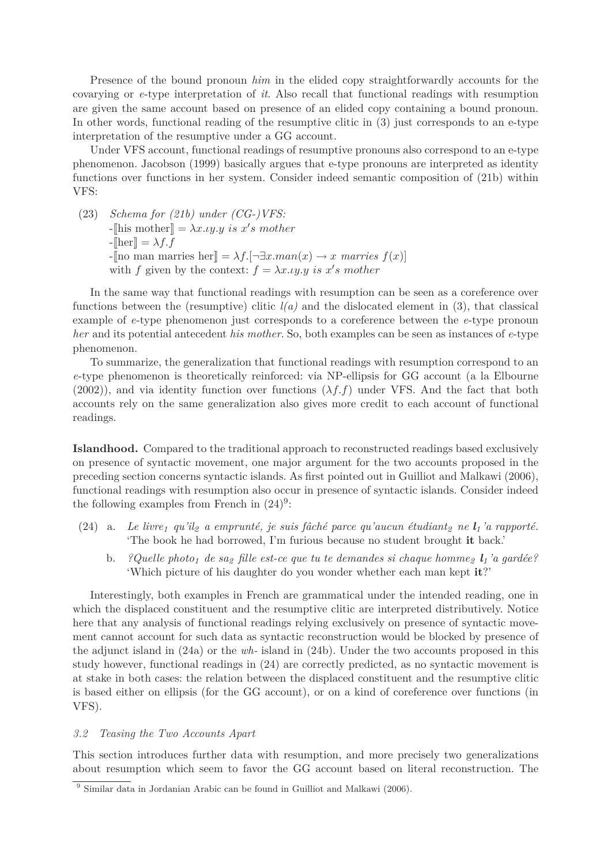Presence of the bound pronoun *him* in the elided copy straightforwardly accounts for the covarying or *e*-type interpretation of *it*. Also recall that functional readings with resumption are given the same account based on presence of an elided copy containing a bound pronoun. In other words, functional reading of the resumptive clitic in (3) just corresponds to an e-type interpretation of the resumptive under a GG account.

Under VFS account, functional readings of resumptive pronouns also correspond to an e-type phenomenon. Jacobson (1999) basically argues that e-type pronouns are interpreted as identity functions over functions in her system. Consider indeed semantic composition of (21b) within VFS:

(23) *Schema for (21b) under (CG-)VFS:*  $-\left[\text{his mother}\right] = \lambda x \cdot \text{uy.y} \text{ is } x's \text{ mother}$  $-\mathbb{R}$  =  $\lambda f. f$  $-\ln$  man marries her $\Vert = \lambda f. \left[ \neg \exists x. \text{man}(x) \rightarrow x \text{ marries } f(x) \right]$ with *f* given by the context:  $f = \lambda x \cdot y \cdot y$  is  $x's$  mother

In the same way that functional readings with resumption can be seen as a coreference over functions between the (resumptive) clitic *l(a)* and the dislocated element in (3), that classical example of *e*-type phenomenon just corresponds to a coreference between the *e*-type pronoun *her* and its potential antecedent *his mother*. So, both examples can be seen as instances of *e*-type phenomenon.

To summarize, the generalization that functional readings with resumption correspond to an *e*-type phenomenon is theoretically reinforced: via NP-ellipsis for GG account (a la Elbourne  $(2002)$ ), and via identity function over functions  $(\lambda f.f)$  under VFS. And the fact that both accounts rely on the same generalization also gives more credit to each account of functional readings.

**Islandhood.** Compared to the traditional approach to reconstructed readings based exclusively on presence of syntactic movement, one major argument for the two accounts proposed in the preceding section concerns syntactic islands. As first pointed out in Guilliot and Malkawi (2006), functional readings with resumption also occur in presence of syntactic islands. Consider indeed the following examples from French in  $(24)^9$ :

- (24) a. *Le livre<sup>1</sup> qu'il<sup>2</sup> a emprunté, je suis fâché parce qu'aucun étudiant<sup>2</sup> ne l<sup>1</sup> 'a rapporté.* 'The book he had borrowed, I'm furious because no student brought **it** back.'
	- b. *?Quelle photo<sup>1</sup> de sa<sup>2</sup> fille est-ce que tu te demandes si chaque homme<sup>2</sup> l<sup>1</sup> 'a gardée?* 'Which picture of his daughter do you wonder whether each man kept **it**?'

Interestingly, both examples in French are grammatical under the intended reading, one in which the displaced constituent and the resumptive clitic are interpreted distributively. Notice here that any analysis of functional readings relying exclusively on presence of syntactic movement cannot account for such data as syntactic reconstruction would be blocked by presence of the adjunct island in (24a) or the *wh-* island in (24b). Under the two accounts proposed in this study however, functional readings in (24) are correctly predicted, as no syntactic movement is at stake in both cases: the relation between the displaced constituent and the resumptive clitic is based either on ellipsis (for the GG account), or on a kind of coreference over functions (in VFS).

#### *3.2 Teasing the Two Accounts Apart*

This section introduces further data with resumption, and more precisely two generalizations about resumption which seem to favor the GG account based on literal reconstruction. The

<sup>&</sup>lt;sup>9</sup> Similar data in Jordanian Arabic can be found in Guilliot and Malkawi (2006).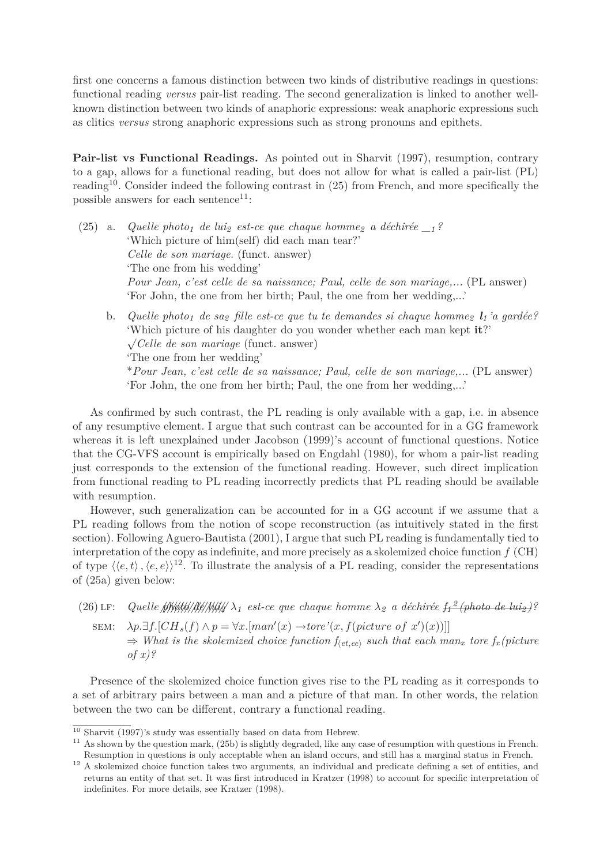first one concerns a famous distinction between two kinds of distributive readings in questions: functional reading *versus* pair-list reading. The second generalization is linked to another wellknown distinction between two kinds of anaphoric expressions: weak anaphoric expressions such as clitics *versus* strong anaphoric expressions such as strong pronouns and epithets.

**Pair-list vs Functional Readings.** As pointed out in Sharvit (1997), resumption, contrary to a gap, allows for a functional reading, but does not allow for what is called a pair-list (PL) reading<sup>10</sup>. Consider indeed the following contrast in  $(25)$  from French, and more specifically the possible answers for each sentence<sup>11</sup>:

- (25) a. *Quelle photo<sup>1</sup> de lui<sup>2</sup> est-ce que chaque homme<sup>2</sup> a déchirée \_<sup>1</sup> ?* 'Which picture of him(self) did each man tear?' *Celle de son mariage.* (funct. answer) 'The one from his wedding' *Pour Jean, c'est celle de sa naissance; Paul, celle de son mariage,...* (PL answer) 'For John, the one from her birth; Paul, the one from her wedding,...'
	- b. *Quelle photo<sup>1</sup> de sa<sup>2</sup> fille est-ce que tu te demandes si chaque homme<sup>2</sup> l<sup>1</sup> 'a gardée?* 'Which picture of his daughter do you wonder whether each man kept **it**?' √ *Celle de son mariage* (funct. answer) 'The one from her wedding' \**Pour Jean, c'est celle de sa naissance; Paul, celle de son mariage,...* (PL answer) 'For John, the one from her birth; Paul, the one from her wedding,...'

As confirmed by such contrast, the PL reading is only available with a gap, i.e. in absence of any resumptive element. I argue that such contrast can be accounted for in a GG framework whereas it is left unexplained under Jacobson (1999)'s account of functional questions. Notice that the CG-VFS account is empirically based on Engdahl (1980), for whom a pair-list reading just corresponds to the extension of the functional reading. However, such direct implication from functional reading to PL reading incorrectly predicts that PL reading should be available with resumption.

However, such generalization can be accounted for in a GG account if we assume that a PL reading follows from the notion of scope reconstruction (as intuitively stated in the first section). Following Aguero-Bautista (2001), I argue that such PL reading is fundamentally tied to interpretation of the copy as indefinite, and more precisely as a skolemized choice function *f* (CH) of type  $\langle\langle e, t\rangle, \langle e, e \rangle\rangle^{12}$ . To illustrate the analysis of a PL reading, consider the representations of (25a) given below:

(26) LF: Quelle MWH/M4/M4//M4/2  $\lambda_1$  est-ce que chaque homme  $\lambda_2$  a déchirée  $f_1^2$  (photo de luiz)?  $\text{SEM:} \quad \lambda p. \exists f. [CH_s(f) \land p = \forall x. [man'(x) \rightarrow tore'(x, f(picture \ of \ x')(x))]]$ 

 $\Rightarrow$  *What is the skolemized choice function*  $f_{\text{det,ee}}$  *such that each man<sub>x</sub> tore*  $f_x$  *(picture*) *of x)?*

Presence of the skolemized choice function gives rise to the PL reading as it corresponds to a set of arbitrary pairs between a man and a picture of that man. In other words, the relation between the two can be different, contrary a functional reading.

<sup>10</sup> Sharvit (1997)'s study was essentially based on data from Hebrew.

 $11$  As shown by the question mark,  $(25b)$  is slightly degraded, like any case of resumption with questions in French. Resumption in questions is only acceptable when an island occurs, and still has a marginal status in French.

<sup>&</sup>lt;sup>12</sup> A skolemized choice function takes two arguments, an individual and predicate defining a set of entities, and returns an entity of that set. It was first introduced in Kratzer (1998) to account for specific interpretation of indefinites. For more details, see Kratzer (1998).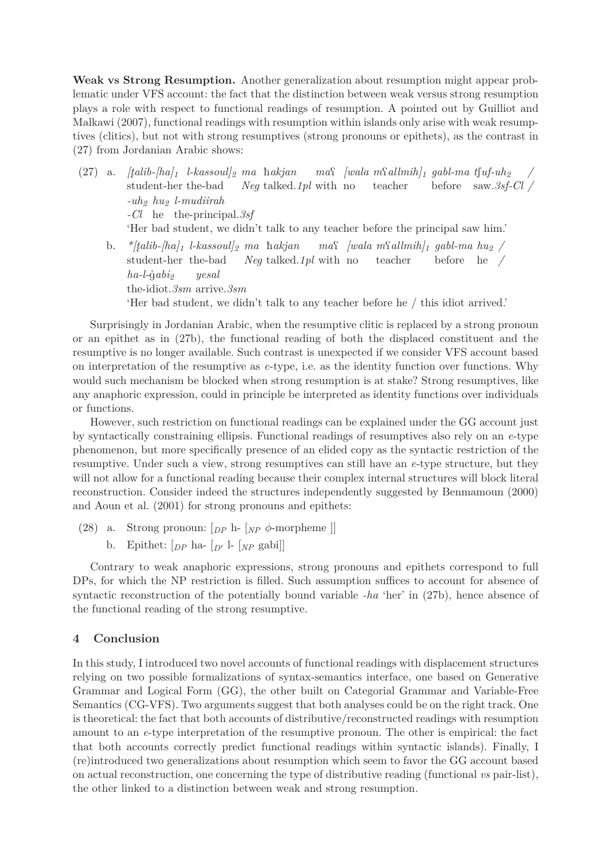**Weak vs Strong Resumption.** Another generalization about resumption might appear problematic under VFS account: the fact that the distinction between weak versus strong resumption plays a role with respect to functional readings of resumption. A pointed out by Guilliot and Malkawi (2007), functional readings with resumption within islands only arise with weak resumptives (clitics), but not with strong resumptives (strong pronouns or epithets), as the contrast in (27) from Jordanian Arabic shows:

 $(27)$  a.  $[_t^-]$ *alib-* $[ha]$ <sub>1</sub>  $l$ -kassoul]<sub>2</sub> ma hakjan student-her the-bad *Neg* talked.*1pl* with no  $ma\$  [wala  $m\$ allmih]<sup>1</sup> gabl-ma t $\int u f - u h$ <sub>2</sub> teacher before saw.*3sf-Cl / / -uh<sup>2</sup> hu<sup>2</sup> l-mudiirah -Cl* he the-principal.*3sf* 'Her bad student, we didn't talk to any teacher before the principal saw him.' b. *\*[t̪alib-[ha]* $_1$  *l-kassoul]* $_2$  ma ħ*akjan* student-her the-bad *Neg* talked.*1pl* with no  $ma\$  [wala  $m\$ allmih]<sup>1</sup> gabl-ma hu<sub>2</sub> / teacher before he */*  $ha$ -*l*- $\dot{q}abi$ <sub>2</sub> *yesal*

the-idiot.*3sm* arrive.*3sm*

'Her bad student, we didn't talk to any teacher before he / this idiot arrived.'

Surprisingly in Jordanian Arabic, when the resumptive clitic is replaced by a strong pronoun or an epithet as in (27b), the functional reading of both the displaced constituent and the resumptive is no longer available. Such contrast is unexpected if we consider VFS account based on interpretation of the resumptive as *e*-type, i.e. as the identity function over functions. Why would such mechanism be blocked when strong resumption is at stake? Strong resumptives, like any anaphoric expression, could in principle be interpreted as identity functions over individuals or functions.

However, such restriction on functional readings can be explained under the GG account just by syntactically constraining ellipsis. Functional readings of resumptives also rely on an *e*-type phenomenon, but more specifically presence of an elided copy as the syntactic restriction of the resumptive. Under such a view, strong resumptives can still have an *e*-type structure, but they will not allow for a functional reading because their complex internal structures will block literal reconstruction. Consider indeed the structures independently suggested by Benmamoun (2000) and Aoun et al. (2001) for strong pronouns and epithets:

- (28) a. Strong pronoun: [*DP* h- [*NP φ*-morpheme ]]
	- b. Epithet:  $[p_P \text{ ha-} \, p' [N_P \text{ gabi}]]$

Contrary to weak anaphoric expressions, strong pronouns and epithets correspond to full DPs, for which the NP restriction is filled. Such assumption suffices to account for absence of syntactic reconstruction of the potentially bound variable *-ha* 'her' in (27b), hence absence of the functional reading of the strong resumptive.

# **4 Conclusion**

In this study, I introduced two novel accounts of functional readings with displacement structures relying on two possible formalizations of syntax-semantics interface, one based on Generative Grammar and Logical Form (GG), the other built on Categorial Grammar and Variable-Free Semantics (CG-VFS). Two arguments suggest that both analyses could be on the right track. One is theoretical: the fact that both accounts of distributive/reconstructed readings with resumption amount to an *e*-type interpretation of the resumptive pronoun. The other is empirical: the fact that both accounts correctly predict functional readings within syntactic islands). Finally, I (re)introduced two generalizations about resumption which seem to favor the GG account based on actual reconstruction, one concerning the type of distributive reading (functional *vs* pair-list), the other linked to a distinction between weak and strong resumption.